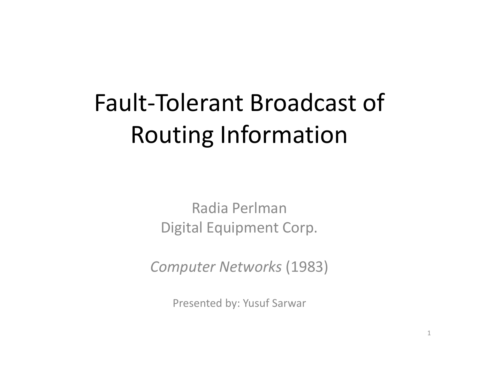# Fault-Tolerant Broadcast of Routing Information

Radia PerlmanDigital Equipment Corp.

Computer Networks (1983)

Presented by: Yusuf Sarwar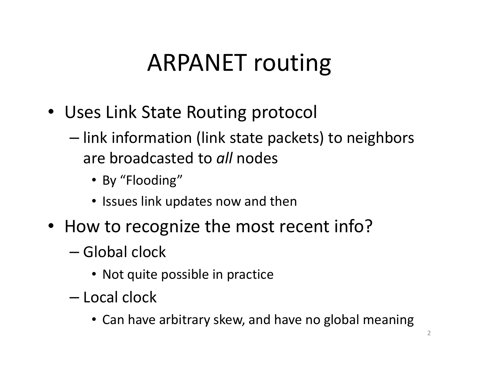## ARPANET routing

- Uses Link State Routing protocol
	- –– link information (link state packets) to neighbors are broadcasted to *all* nodes
		- By "Flooding"
		- Issues link updates now and then
- How to recognize the most recent info?
	- –— Global clock
		- Not quite possible in practice
	- –— Local clock
		- Can have arbitrary skew, and have no global meaning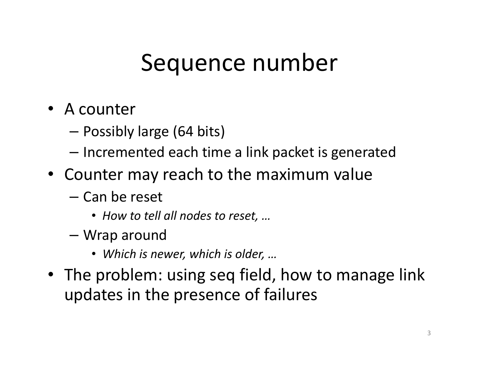## Sequence number

- A counter
	- Possibly large (64 bits)
	- $-$  Incremented each time a link packet is generated
- Counter may reach to the maximum value
	- and the state of the — Can be reset
		- How to tell all nodes to reset, …
	- Wrap around
		- Which is newer, which is older, …
- The problem: using seq field, how to manage link updates in the presence of failures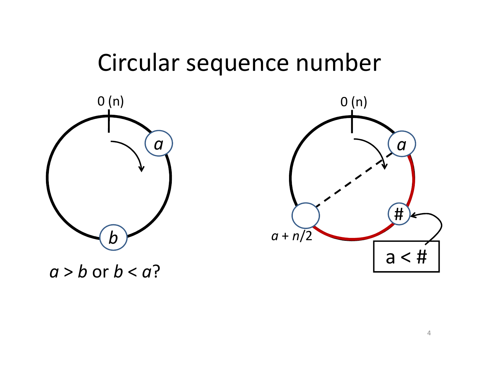#### Circular sequence number



0 (n) $\boldsymbol{a}$ a <sup>+</sup> n/2 $a < #$ #

 $a > b$  or  $b < a$ ?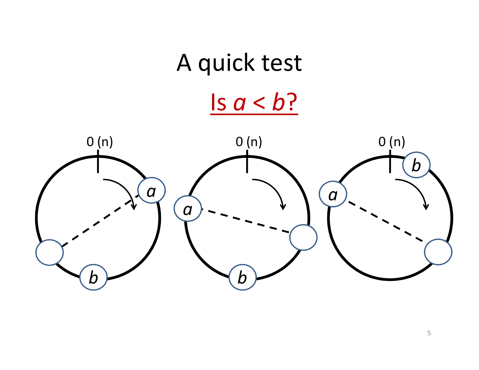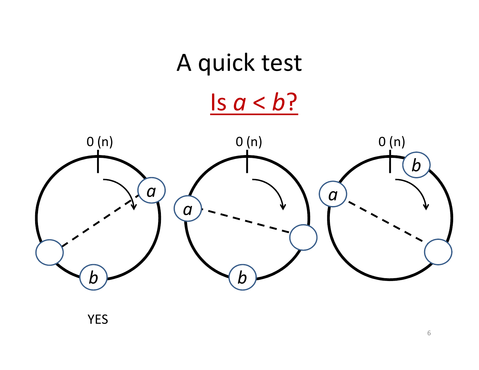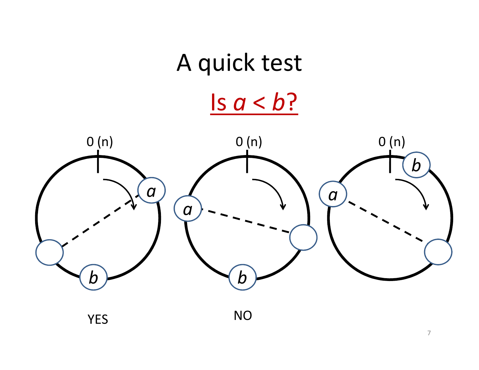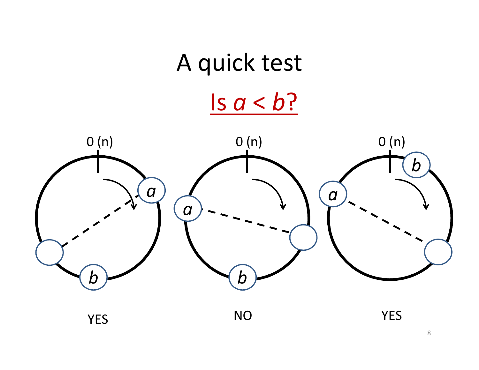

<sup>8</sup>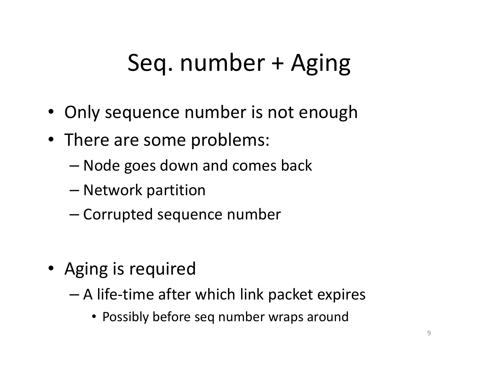## Seq. number + Aging

- Only sequence number is not enough
- There are some problems:
	- –Node goes down and comes back
	- –— Network partition
	- – $-$  Corrupted sequence number
- Aging is required
	- – $-$  A life-time after which link packet expires
		- Possibly before seq number wraps around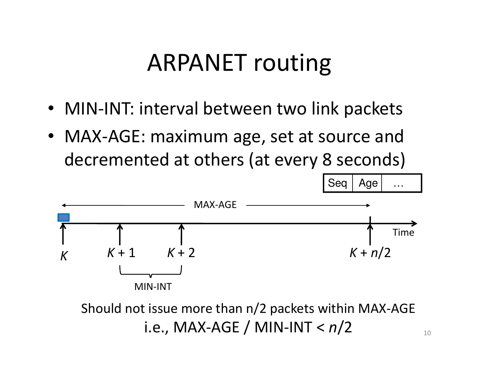## ARPANET routing

- MIN-INT: interval between two link packets
- MAX-AGE: maximum age, set at source and decremented at others (at every 8 seconds)



Should not issue more than n/2 packets within MAX-AGEi.e., MAX-AGE / MIN-INT < n/2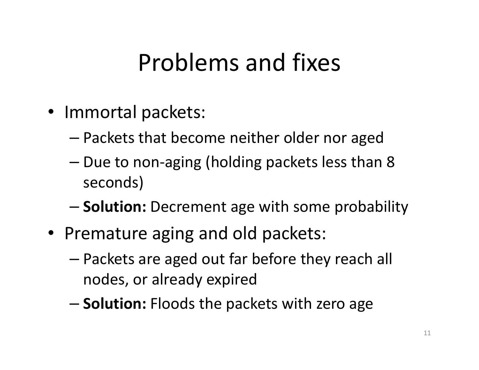### Problems and fixes

- Immortal packets:
	- – $-$  Packets that become neither older nor aged
	- –– Due to non-aging (holding packets less than 8 seconds)
	- –- Solution: Decrement age with some probability
- Premature aging and old packets:
	- – Packets are aged out far before they reach all nodes, or already expired
	- –**- Solution:** Floods the packets with zero age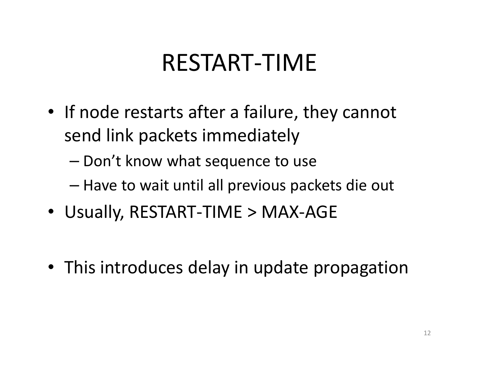## RESTART-TIME

- If node restarts after a failure, they cannot send link packets immediately
	- – $-$  Don't know what sequence to use
	- and the state of the state  $-$  Have to wait until all previous packets die out
- Usually, RESTART-TIME > MAX-AGE
- This introduces delay in update propagation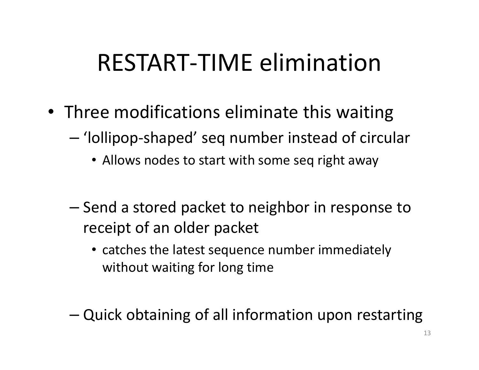### RESTART-TIME elimination

- Three modifications eliminate this waiting
	- – 'lollipop-shaped' seq number instead of circular
		- Allows nodes to start with some seq right away
	- –– Send a stored packet to neighbor in response to receipt of an older packet
		- catches the latest sequence number immediately without waiting for long time
	- –Quick obtaining of all information upon restarting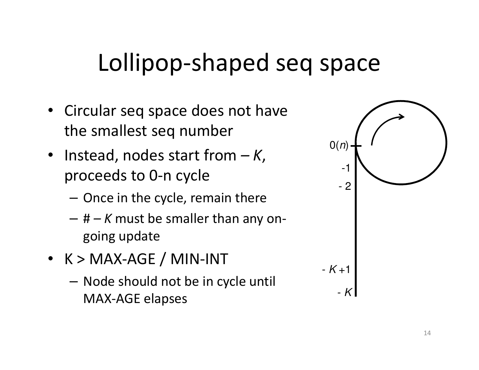## Lollipop-shaped seq space

- Circular seq space does not have the smallest seq number
- Instead, nodes start from  $-K$ , proceeds to 0-n cycle
	- – $-$  Once in the cycle, remain there
	- – $-$  #  $-$  K must be smaller than any ongoing update
- K > MAX-AGE / MIN-INT
	- – $-$  Node should not be in cycle until MAX-AGE elapses

| O(n)<br>$\overline{a}$<br>1<br>$-2$ |  |  |
|-------------------------------------|--|--|
| $-K+1$<br>$-K$                      |  |  |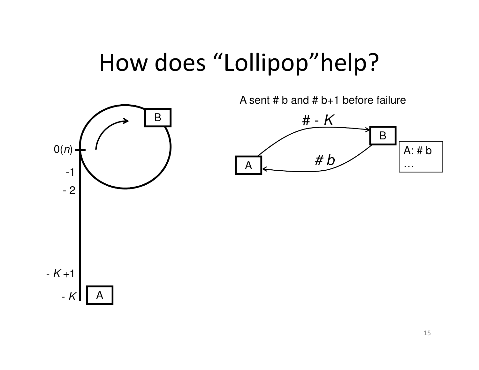#### How does "Lollipop"help?

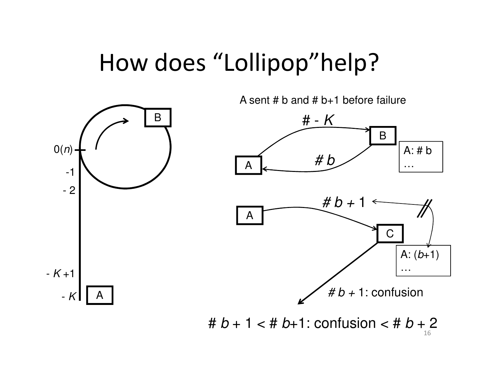#### How does "Lollipop"help?

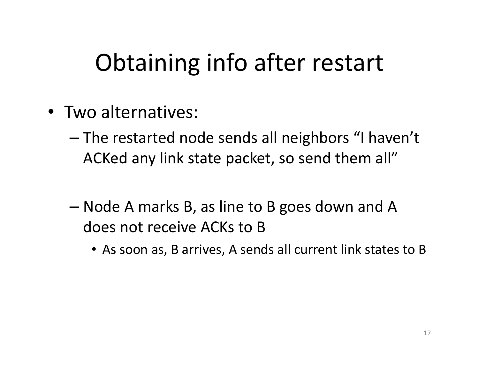## Obtaining info after restart

- Two alternatives:
	- –- The restarted node sends all neighbors "I haven't ACKed any link state packet, so send them all"
	- – Node A marks B, as line to B goes down and A does not receive ACKs to B
		- As soon as, B arrives, A sends all current link states to B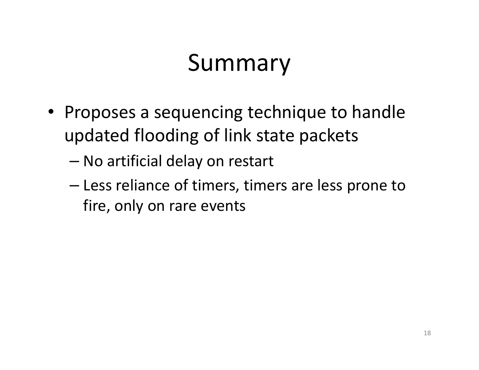## Summary

- Proposes a sequencing technique to handle updated flooding of link state packets
	- –No artificial delay on restart
	- and the state of the state - Less reliance of timers, timers are less prone to fire, only on rare events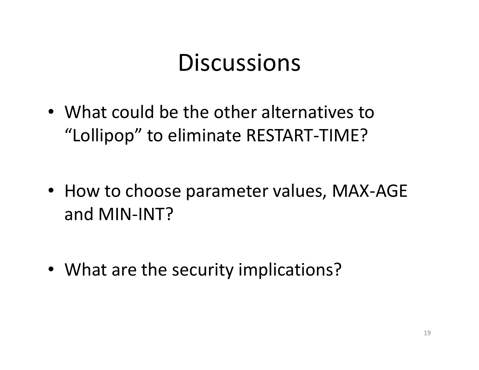#### **Discussions**

- What could be the other alternatives to "Lollipop" to eliminate RESTART-TIME?
- How to choose parameter values, MAX-AGE and MIN-INT?
- What are the security implications?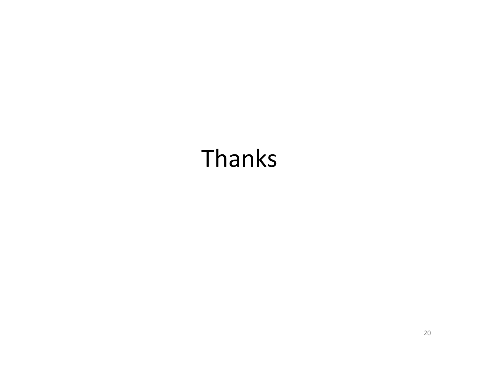## Thanks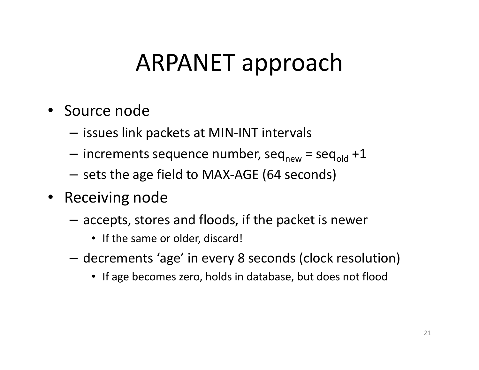## ARPANET approach

- Source node
	- – $-$  issues link packets at MIN-INT intervals
	- – $-$  increments sequence number, seq $_{\sf new}$  = seq $_{\sf old}$  +1
	- – $-$  sets the age field to MAX-AGE (64 seconds)
- Receiving node
	- – $-$  accepts, stores and floods, if the packet is newer
		- If the same or older, discard!
	- – decrements 'age' in every 8 seconds (clock resolution)
		- If age becomes zero, holds in database, but does not flood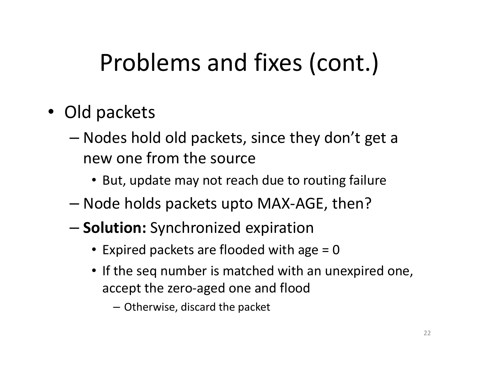## Problems and fixes (cont.)

- Old packets
	- – Nodes hold old packets, since they don't get a new one from the source
		- But, update may not reach due to routing failure
	- – $-$  Node holds packets upto MAX-AGE, then?
	- –**- Solution:** Synchronized expiration
		- Expired packets are flooded with age = 0
		- If the seq number is matched with an unexpired one, accept the zero-aged one and flood
			- Otherwise, discard the packet